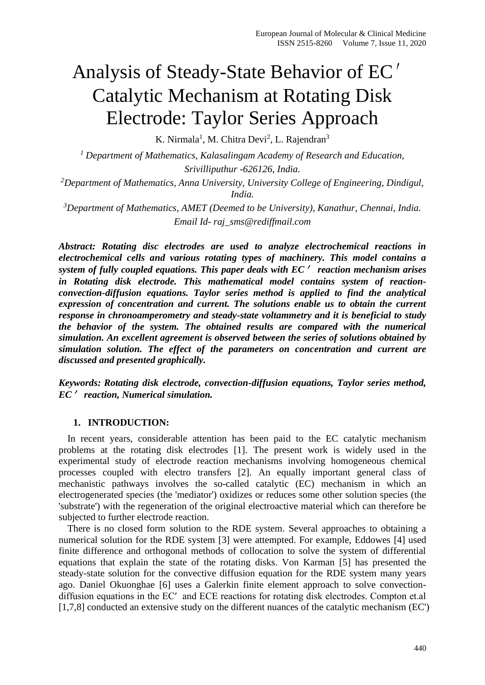# Analysis of Steady-State Behavior of EC′ Catalytic Mechanism at Rotating Disk Electrode: Taylor Series Approach

K. Nirmala<sup>1</sup>, M. Chitra Devi<sup>2</sup>, L. Rajendran<sup>3</sup>

*<sup>1</sup> Department of Mathematics, Kalasalingam Academy of Research and Education, Srivilliputhur -626126, India.*

*<sup>2</sup>Department of Mathematics, Anna University, University College of Engineering, Dindigul, India.*

*<sup>3</sup>Department of Mathematics, AMET (Deemed to be University), Kanathur, Chennai, India. Email Id- raj\_sms@rediffmail.com*

*Abstract: Rotating disc electrodes are used to analyze electrochemical reactions in electrochemical cells and various rotating types of machinery. This model contains a system of fully coupled equations. This paper deals with EC*′ *reaction mechanism arises in Rotating disk electrode. This mathematical model contains system of reactionconvection-diffusion equations. Taylor series method is applied to find the analytical expression of concentration and current. The solutions enable us to obtain the current response in chronoamperometry and steady-state voltammetry and it is beneficial to study the behavior of the system. The obtained results are compared with the numerical simulation. An excellent agreement is observed between the series of solutions obtained by simulation solution. The effect of the parameters on concentration and current are discussed and presented graphically.*

*Keywords: Rotating disk electrode, convection-diffusion equations, Taylor series method, EC*′ *reaction, Numerical simulation.*

## **1. INTRODUCTION:**

In recent years, considerable attention has been paid to the EC catalytic mechanism problems at the rotating disk electrodes [1]. The present work is widely used in the experimental study of electrode reaction mechanisms involving homogeneous chemical processes coupled with electro transfers [2]. An equally important general class of mechanistic pathways involves the so-called catalytic (EC) mechanism in which an electrogenerated species (the 'mediator') oxidizes or reduces some other solution species (the 'substrate') with the regeneration of the original electroactive material which can therefore be subjected to further electrode reaction.

There is no closed form solution to the RDE system. Several approaches to obtaining a numerical solution for the RDE system [3] were attempted. For example, Eddowes [4] used finite difference and orthogonal methods of collocation to solve the system of differential equations that explain the state of the rotating disks. Von Karman [5] has presented the steady-state solution for the convective diffusion equation for the RDE system many years ago. Daniel Okuonghae [6] uses a Galerkin finite element approach to solve convectiondiffusion equations in the EC′ and ECE reactions for rotating disk electrodes. Compton et.al [1,7,8] conducted an extensive study on the different nuances of the catalytic mechanism (EC')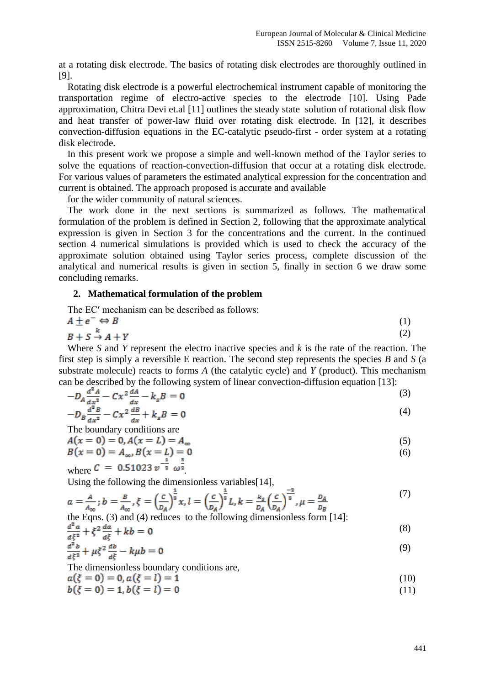at a rotating disk electrode. The basics of rotating disk electrodes are thoroughly outlined in [9].

Rotating disk electrode is a powerful electrochemical instrument capable of monitoring the transportation regime of electro-active species to the electrode [10]. Using Pade approximation, Chitra Devi et.al [11] outlines the steady state solution of rotational disk flow and heat transfer of power-law fluid over rotating disk electrode. In [12], it describes convection-diffusion equations in the EC-catalytic pseudo-first - order system at a rotating disk electrode.

In this present work we propose a simple and well-known method of the Taylor series to solve the equations of reaction-convection-diffusion that occur at a rotating disk electrode. For various values of parameters the estimated analytical expression for the concentration and current is obtained. The approach proposed is accurate and available

for the wider community of natural sciences.

The work done in the next sections is summarized as follows. The mathematical formulation of the problem is defined in Section 2, following that the approximate analytical expression is given in Section 3 for the concentrations and the current. In the continued section 4 numerical simulations is provided which is used to check the accuracy of the approximate solution obtained using Taylor series process, complete discussion of the analytical and numerical results is given in section 5, finally in section 6 we draw some concluding remarks.

#### **2. Mathematical formulation of the problem**

The EC′ mechanism can be described as follows:

$$
A \pm e^{-} \Leftrightarrow B
$$
  
\n
$$
B + S \to A + Y
$$
 (1)  
\n(2)

Where *S* and *Y* represent the electro inactive species and *k* is the rate of the reaction. The first step is simply a reversible E reaction. The second step represents the species *B* and *S* (a substrate molecule) reacts to forms *A* (the catalytic cycle) and *Y* (product). This mechanism can be described by the following system of linear convection-diffusion equation [13]:

$$
-D_A \frac{d^2 A}{dx^2} - Cx^2 \frac{dA}{dx} - k_s B = 0
$$
\n(3)

$$
-D_B \frac{d^2 B}{dx^2} - Cx^2 \frac{dB}{dx} + k_s B = 0
$$
\n(4)

The boundary conditions are

$$
A(x = 0) = 0, A(x = L) = A_{\infty}
$$
  
\n
$$
B(x = 0) = A_{\infty}, B(x = L) = 0
$$
\n(5)

where 
$$
C = 0.51023 v^{-\frac{1}{2}} \omega^{\frac{3}{2}}
$$

Using the following the dimensionless variables<sup>[14]</sup>,

$$
a = \frac{A}{A_{\infty}}; b = \frac{B}{A_{\infty}}, \xi = \left(\frac{C}{D_A}\right)^{\frac{1}{3}} x, l = \left(\frac{C}{D_A}\right)^{\frac{1}{3}} L, k = \frac{k_s}{D_A} \left(\frac{C}{D_A}\right)^{\frac{-2}{3}}, \mu = \frac{D_A}{D_B}
$$
(7)

the Eqns. (3) and (4) reduces to the following dimensionless form [14]:

$$
\frac{d^2a}{d\xi^2} + \xi^2 \frac{da}{d\xi} + kb = 0
$$
\n(8)

$$
\frac{d^2b}{d\xi^2} + \mu\xi^2 \frac{db}{d\xi} - k\mu b = 0
$$
 (9)

The dimensionless boundary conditions are,

$$
a(\xi = 0) = 0, a(\xi = l) = 1 \tag{10}
$$

$$
b(\xi = 0) = 1, b(\xi = l) = 0 \tag{11}
$$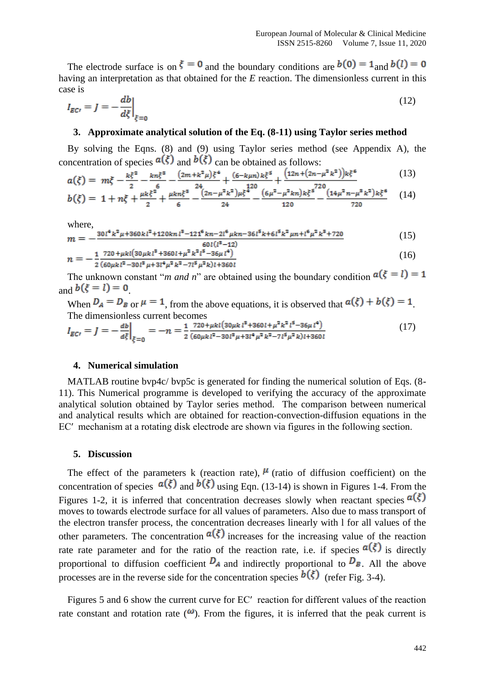The electrode surface is on  $\xi = 0$  and the boundary conditions are  $b(0) = 1$  and  $b(l) = 0$ having an interpretation as that obtained for the *E* reaction. The dimensionless current in this case is

$$
I_{EC'} = J = -\frac{db}{d\xi}\Big|_{\xi=0} \tag{12}
$$

## **3. Approximate analytical solution of the Eq. (8-11) using Taylor series method**

By solving the Eqns. (8) and (9) using Taylor series method (see Appendix A), the concentration of species  $a(\xi)$  and  $b(\xi)$  can be obtained as follows:

$$
a(\xi) = m\xi - \frac{k\xi^2}{2} - \frac{k n\xi^3}{6} - \frac{(2m + k^2\mu)\xi^4}{24} + \frac{(6 - k\mu n)k\xi^5}{120} + \frac{(12n + (2n - \mu^2 k^2))k\xi^6}{720}
$$
(13)

$$
b(\xi) = 1 + n\xi + \frac{\mu k \xi^2}{2} + \frac{\mu k n \xi^3}{6} - \frac{\left(2n - \mu^2 k^2\right) \mu \xi^4}{24} - \frac{\left(6\mu^2 - \mu^2 k n\right) k \xi^5}{120} - \frac{\left(14\mu^2 n - \mu^3 k^2\right) k \xi^6}{720} \tag{14}
$$

where,

$$
m = -\frac{30l^4k^2\mu + 360kl^2 + 120knl^8 - 121^6kn - 2l^6\mu kn - 36l^5k + 6l^5k^2\mu n + l^6\mu^2k^8 + 720}{60l(l^8 - 12)}
$$
(15)

$$
n = -\frac{1}{2} \frac{720 + \mu k l (30 \mu k l^3 + 360 l + \mu^2 k^2 l^5 - 36 \mu l^4)}{(60 \mu k l^2 - 30 l^3 \mu + 3 l^4 \mu^2 k^2 - 7 l^5 \mu^2 k) l + 360 l} \tag{16}
$$

The unknown constant "*m and n*" are obtained using the boundary condition  $a(\xi = l) = 1$  $_{\text{and}} b(\xi = l) = 0$ 

When  $D_A = D_B$  or  $\mu = 1$ , from the above equations, it is observed that  $a(\xi) + b(\xi) = 1$ . The dimensionless current becomes

$$
I_{EC'} = J = -\frac{ab}{d\xi}\Big|_{\xi=0} = -n = \frac{1}{2} \frac{720 + \mu k l (30 \mu k l^3 + 360 l + \mu^2 k^2 l^5 - 36 \mu l^4)}{(60 \mu k l^2 - 30 l^3 \mu + 3 l^4 \mu^2 k^2 - 7 l^5 \mu^2 k) l + 360 l} \tag{17}
$$

### **4. Numerical simulation**

MATLAB routine bvp4c/ bvp5c is generated for finding the numerical solution of Eqs. (8-11). This Numerical programme is developed to verifying the accuracy of the approximate analytical solution obtained by Taylor series method. The comparison between numerical and analytical results which are obtained for reaction-convection-diffusion equations in the EC′ mechanism at a rotating disk electrode are shown via figures in the following section.

#### **5. Discussion**

The effect of the parameters k (reaction rate),  $\mu$  (ratio of diffusion coefficient) on the concentration of species  $a(\xi)$  and  $b(\xi)$  using Eqn. (13-14) is shown in Figures 1-4. From the Figures 1-2, it is inferred that concentration decreases slowly when reactant species  $a(\xi)$ moves to towards electrode surface for all values of parameters. Also due to mass transport of the electron transfer process, the concentration decreases linearly with l for all values of the other parameters. The concentration  $a(\xi)$  increases for the increasing value of the reaction rate rate parameter and for the ratio of the reaction rate, i.e. if species  $a(\xi)$  is directly proportional to diffusion coefficient  $\overline{D}_A$  and indirectly proportional to  $\overline{D}_B$ . All the above processes are in the reverse side for the concentration species  $b(\xi)$  (refer Fig. 3-4).

Figures 5 and 6 show the current curve for EC′ reaction for different values of the reaction rate constant and rotation rate  $(\omega)$ . From the figures, it is inferred that the peak current is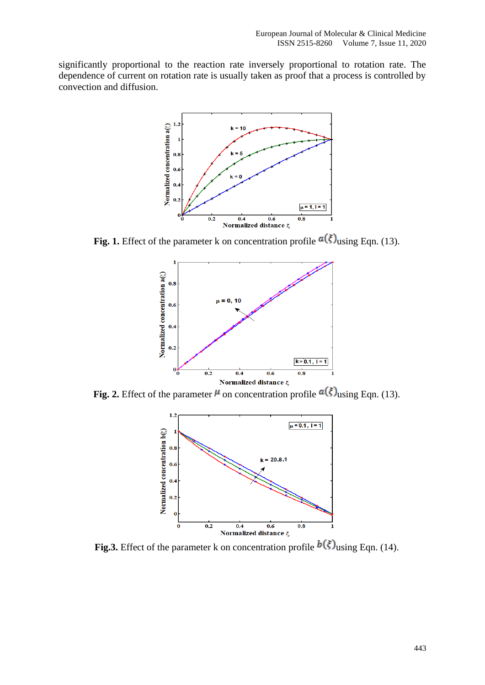significantly proportional to the reaction rate inversely proportional to rotation rate. The dependence of current on rotation rate is usually taken as proof that a process is controlled by convection and diffusion.



**Fig. 1.** Effect of the parameter k on concentration profile  $a(\xi)$  using Eqn. (13).



**Fig. 2.** Effect of the parameter  $\mu$  on concentration profile  $\alpha(\xi)$  using Eqn. (13).



**Fig.3.** Effect of the parameter k on concentration profile  $b(\xi)$  using Eqn. (14).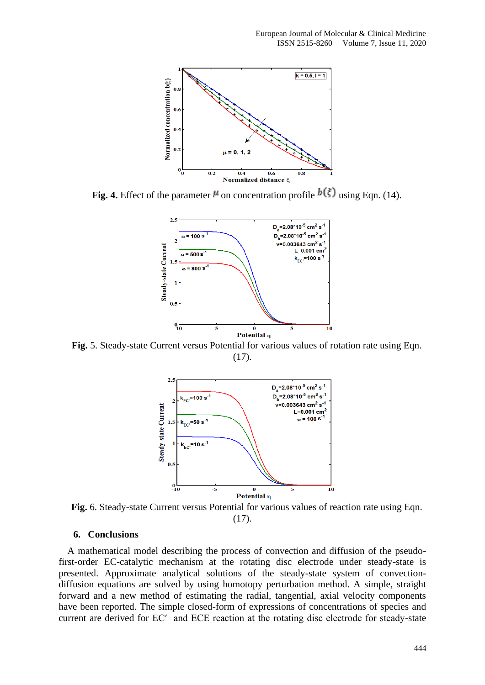

**Fig. 4.** Effect of the parameter  $\mu$  on concentration profile  $b(\xi)$  using Eqn. (14).



**Fig.** 5. Steady-state Current versus Potential for various values of rotation rate using Eqn. (17).



**Fig.** 6. Steady-state Current versus Potential for various values of reaction rate using Eqn. (17).

## **6. Conclusions**

A mathematical model describing the process of convection and diffusion of the pseudofirst-order EC-catalytic mechanism at the rotating disc electrode under steady-state is presented. Approximate analytical solutions of the steady-state system of convectiondiffusion equations are solved by using homotopy perturbation method. A simple, straight forward and a new method of estimating the radial, tangential, axial velocity components have been reported. The simple closed-form of expressions of concentrations of species and current are derived for EC′ and ECE reaction at the rotating disc electrode for steady-state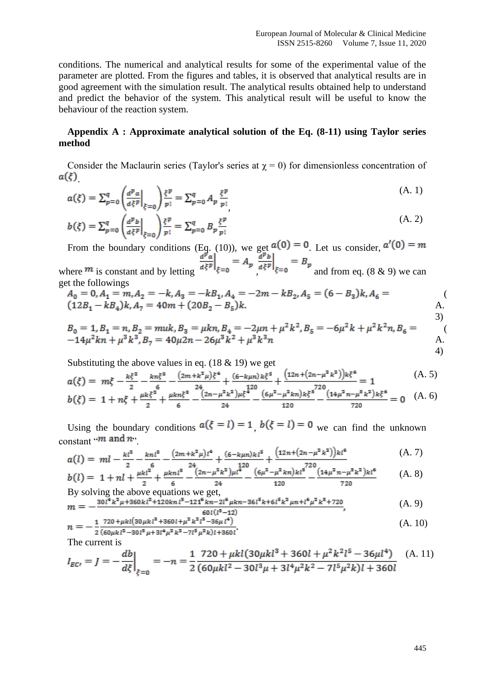conditions. The numerical and analytical results for some of the experimental value of the parameter are plotted. From the figures and tables, it is observed that analytical results are in good agreement with the simulation result. The analytical results obtained help to understand and predict the behavior of the system. This analytical result will be useful to know the behaviour of the reaction system.

# **Appendix A : Approximate analytical solution of the Eq. (8-11) using Taylor series method**

Consider the Maclaurin series (Taylor's series at  $\gamma = 0$ ) for dimensionless concentration of  $a(\xi)$ 

$$
a(\xi) = \sum_{p=0}^{q} \left( \frac{d^p a}{d\xi^p} \Big|_{\xi=0} \right) \frac{\xi^p}{p!} = \sum_{p=0}^{q} A_p \frac{\xi^p}{p!} \tag{A. 1}
$$

$$
b(\xi) = \sum_{p=0}^{q} \left( \frac{a^p b}{a \xi^p} \Big|_{\xi=0} \right) \frac{\xi^p}{p!} = \sum_{p=0}^{q} B_p \frac{\xi^p}{p!}
$$
 (A. 2)

From the boundary conditions (Eq. (10)), we get  $a(0) = 0$ . Let us consider,

where  $\frac{m}{m}$  is constant and by letting  $\frac{a_5 - b_5}{b_5 - b_6}$ ,  $\frac{a_5 - b_5}{c_5 - c_6}$  and from eq. (8 & 9) we can get the followings

$$
A_0 = 0, A_1 = m, A_2 = -k, A_3 = -kB_1, A_4 = -2m - kB_2, A_5 = (6 - B_3)k, A_6 = (12B_1 - kB_4)k, A_7 = 40m + (20B_2 - B_5)k.
$$
  
\nA.

$$
B_0 = 1, B_1 = n, B_2 = muk, B_3 = \mu kn, B_4 = -2\mu n + \mu^2 k^2, B_5 = -6\mu^2 k + \mu^2 k^2 n, B_6 = -14\mu^2 kn + \mu^3 k^3, B_7 = 40\mu^2 n - 26\mu^3 k^2 + \mu^3 k^3 n
$$
\nA.

Substituting the above values in eq.  $(18 \& 19)$  we get

$$
a(\xi) = m\xi - \frac{k\xi^2}{2} - \frac{k n\xi^3}{6} - \frac{(2m + k^2\mu)\xi^4}{24} + \frac{(6 - k\mu n)k\xi^5}{120} + \frac{(12n + (2n - \mu^2 k^2))k\xi^6}{524} = 1
$$
\n
$$
a(\xi) = \frac{k k \xi^2}{24} + \frac{k k \xi^3}{488} + \frac{(2n - \mu^2 k^2)\mu\xi^4}{648} + \frac{(6\mu^2 - \mu^2 k n)k\xi^5}{648} = 1
$$
\n
$$
a(\xi) = \frac{k k \xi^2}{248} + \frac{(4n - \mu^2 k^2)\mu\xi^4}{648} + \frac{(6\mu^2 - \mu^2 k n)k\xi^5}{6488} = 1
$$
\n
$$
a(\xi) = \frac{k \xi^2}{2488} + \frac{(4n - \mu^2 k^2)\mu\xi^4}{6488} = 1
$$
\n
$$
a(\xi) = \frac{k \xi^2}{2488} + \frac{(6n - \mu^2 k^2)\mu\xi^4}{6488} = 1
$$
\n
$$
a(\xi) = \frac{k \xi^2}{2488} + \frac{(6n - \mu^2 k^2)\mu\xi^4}{6488} = 1
$$
\n
$$
a(\xi) = \frac{k \xi^2}{2488} + \frac{(6n - \mu^2 k^2)\mu\xi^4}{64888} = 1
$$
\n
$$
a(\xi) = \frac{k \xi^2}{24888} + \frac{(6n - \mu^2 k^2)\mu\xi^4}{64888} = 1
$$
\n
$$
a(\xi) = \frac{k \xi^2}{24888} + \frac{(6n - \mu^2 k^2)\mu\xi^4}{64888} = 1
$$

$$
b(\xi) = 1 + n\xi + \frac{\mu k \xi^2}{2} + \frac{\mu k n \xi^8}{6} - \frac{(2n - \mu^2 k^2)\mu \xi^4}{24} - \frac{(6\mu^2 - \mu^2 k n)k \xi^8}{120} - \frac{(14\mu^2 n - \mu^8 k^2)k \xi^6}{720} = 0 \quad (A. 6)
$$

Using the boundary conditions  $a(\xi = l) = 1$ ,  $b(\xi = l) = 0$  we can find the unknown constant " $m$  and  $n$ ".

$$
a(l) = ml - \frac{kl^2}{2} - \frac{knl^3}{6} - \frac{(2m + k^2\mu)l^4}{24} + \frac{(6 - k\mu n)kl^5}{120} + \frac{(12n + (2n - \mu^2 k^2))kl^6}{720} \tag{A.7}
$$

$$
b(l) = 1 + nl + \frac{\mu k l^2}{2} + \frac{\mu k n l^3}{6} - \frac{24}{24} \left(\frac{2n - \mu^2 k^2}{24}\right) \frac{l^{20}}{120} - \frac{6\mu^2 - \mu^2 k n k l^5}{120} - \frac{(14\mu^2 n - \mu^3 k^2) k l^6}{720} \tag{A. 8}
$$

By solving the above equations we get,  
\n
$$
m = -\frac{30l^4k^2\mu + 360kl^2 + 120knl^3 - 121^6kn - 2l^6\mu kn - 36l^5k + 6l^5k^2\mu n + l^6\mu^2k^3 + 720}{60l(l^8 - 12)},
$$
\n(A. 9)

$$
n = -\frac{1}{2} \frac{720 + \mu k l (30 \mu k l^8 + 360 l + \mu^2 k^2 l^5 - 36 \mu l^4)}{(60 \mu k l^2 - 30 l^8 \mu + 3 l^4 \mu^2 k^2 - 7 l^5 \mu^2 k) l + 360 l^4} \tag{A.10}
$$

The current is

$$
I_{EC'} = J = -\frac{db}{d\xi}\Big|_{\xi=0} = -n = \frac{1}{2} \frac{720 + \mu k l (30 \mu k l^3 + 360 l + \mu^2 k^2 l^5 - 36 \mu l^4)}{(60 \mu k l^2 - 30 l^3 \mu + 3 l^4 \mu^2 k^2 - 7 l^5 \mu^2 k) l + 360 l} \tag{A.11}
$$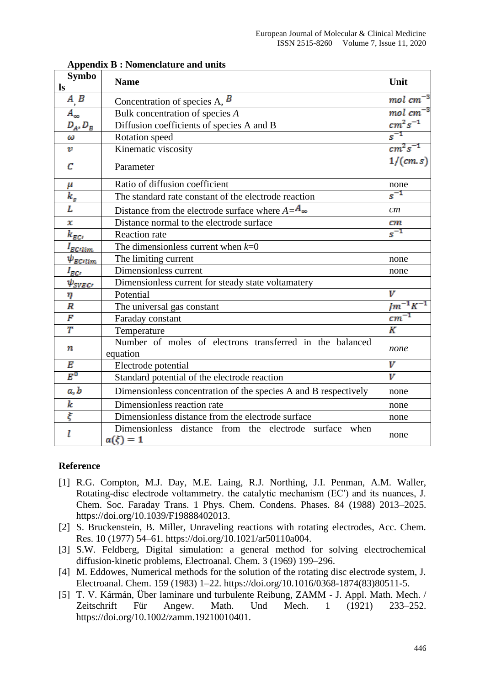| <b>Symbo</b>             | <b>Name</b>                                                          | Unit                  |
|--------------------------|----------------------------------------------------------------------|-----------------------|
| $\mathbf{ls}$            |                                                                      |                       |
| $\mathbf{A}, \mathbf{B}$ | Concentration of species A, $\overline{B}$                           | $mol$ $cm^{-3}$       |
| $A_{\infty}$             | Bulk concentration of species A                                      | $mol$ $cm^{-3}$       |
| $D_A, D_B$               | Diffusion coefficients of species A and B                            | $cm^2s^{-1}$          |
| ω                        | Rotation speed                                                       | $s^{-1}$              |
| $\boldsymbol{v}$         | Kinematic viscosity                                                  | $cm^2s^{-1}$          |
| C                        | Parameter                                                            | 1/(cm.s)              |
| μ                        | Ratio of diffusion coefficient                                       | none                  |
| $k_{s}$                  | The standard rate constant of the electrode reaction                 | $s^{-1}$              |
| L                        | Distance from the electrode surface where $A = A_{\infty}$           | cm                    |
| x                        | Distance normal to the electrode surface                             | cт                    |
| $k_{\rm EC}$             | <b>Reaction</b> rate                                                 | $s^{-1}$              |
| $I_{EClim}$              | The dimensionless current when $k=0$                                 |                       |
| $\psi_{EClim}$           | The limiting current                                                 | none                  |
| $I_{ECI}$                | Dimensionless current                                                | none                  |
| $\psi_{SVEG}$            | Dimensionless current for steady state voltamatery                   |                       |
| η                        | Potential                                                            | V                     |
| $\boldsymbol{R}$         | The universal gas constant                                           | $\sqrt{m^{-1}K^{-1}}$ |
| F                        | Faraday constant                                                     | $cm^{-1}$             |
| $\overline{T}$           | Temperature                                                          | K                     |
| n                        | Number of moles of electrons transferred in the balanced<br>equation | none                  |
| Е                        | Electrode potential                                                  | v                     |
| $E^0$                    | Standard potential of the electrode reaction                         | $\overline{V}$        |
| a, b                     | Dimensionless concentration of the species A and B respectively      | none                  |
| k                        | Dimensionless reaction rate                                          | none                  |
| ξ                        | Dimensionless distance from the electrode surface                    | none                  |
| l                        | Dimensionless distance from the electrode surface when<br>$a(\xi)=1$ | none                  |

# **Appendix B : Nomenclature and units**

## **Reference**

- [1] R.G. Compton, M.J. Day, M.E. Laing, R.J. Northing, J.I. Penman, A.M. Waller, Rotating-disc electrode voltammetry. the catalytic mechanism (EC′) and its nuances, J. Chem. Soc. Faraday Trans. 1 Phys. Chem. Condens. Phases. 84 (1988) 2013–2025. https://doi.org/10.1039/F19888402013.
- [2] S. Bruckenstein, B. Miller, Unraveling reactions with rotating electrodes, Acc. Chem. Res. 10 (1977) 54–61. https://doi.org/10.1021/ar50110a004.
- [3] S.W. Feldberg, Digital simulation: a general method for solving electrochemical diffusion-kinetic problems, Electroanal. Chem. 3 (1969) 199–296.
- [4] M. Eddowes, Numerical methods for the solution of the rotating disc electrode system, J. Electroanal. Chem. 159 (1983) 1–22. https://doi.org/10.1016/0368-1874(83)80511-5.
- [5] T. V. Kármán, Über laminare und turbulente Reibung, ZAMM J. Appl. Math. Mech. / Zeitschrift Für Angew. Math. Und Mech. 1 (1921) 233–252. https://doi.org/10.1002/zamm.19210010401.